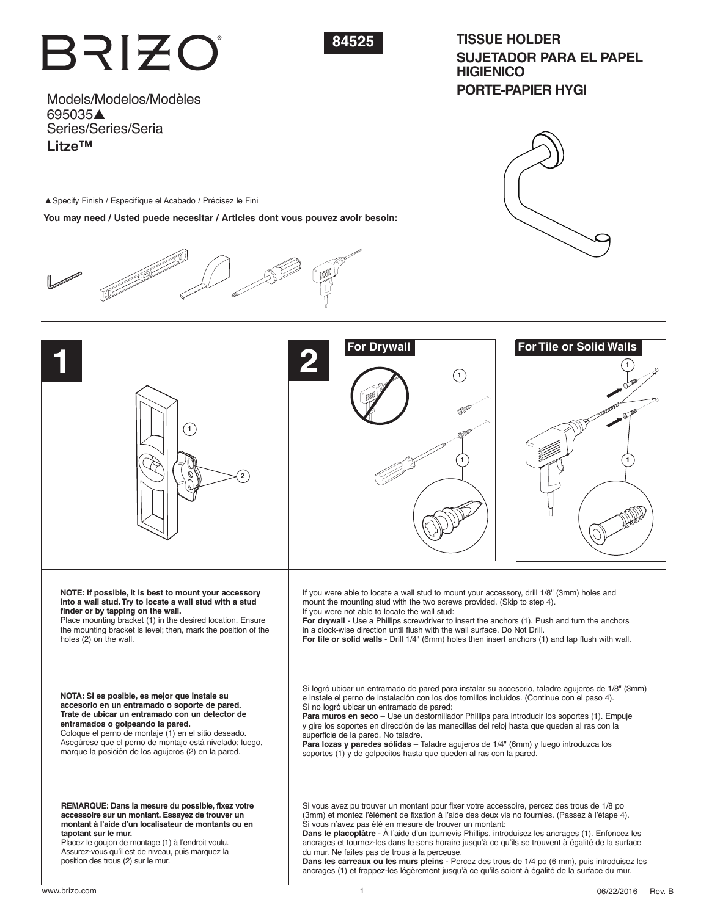# BRIZO



# **TISSUE HOLDER SUJETADOR PARA EL PAPEL HIGIENICO PORTE-PAPIER HYGI**

Models/Modelos/Modèles 695035▲ Series/Series/Seria **Litze™**

▲Specify Finish / Especifíque el Acabado / Précisez le Fini

**You may need / Usted puede necesitar / Articles dont vous pouvez avoir besoin:**







**Dans le placoplâtre** - À l'aide d'un tournevis Phillips, introduisez les ancrages (1). Enfoncez les ancrages et tournez-les dans le sens horaire jusqu'à ce qu'ils se trouvent à égalité de la surface du mur. Ne faites pas de trous à la perceuse.

**Dans les carreaux ou les murs pleins** - Percez des trous de 1/4 po (6 mm), puis introduisez les ancrages (1) et frappez-les légèrement jusqu'à ce qu'ils soient à égalité de la surface du mur.

**tapotant sur le mur.**

position des trous (2) sur le mur.

Placez le goujon de montage (1) à l'endroit voulu. Assurez-vous qu'il est de niveau, puis marquez la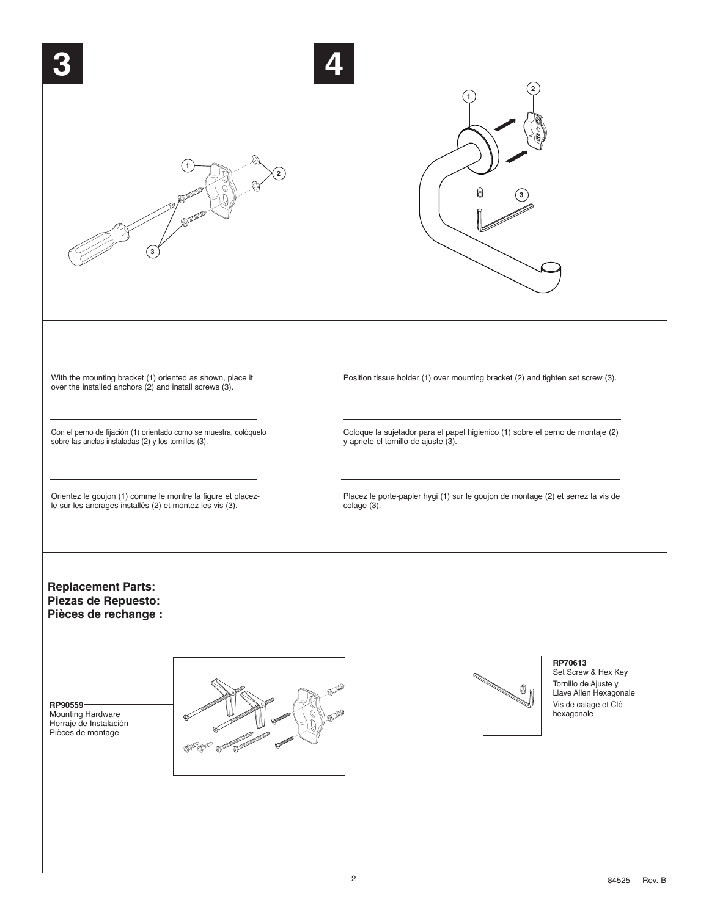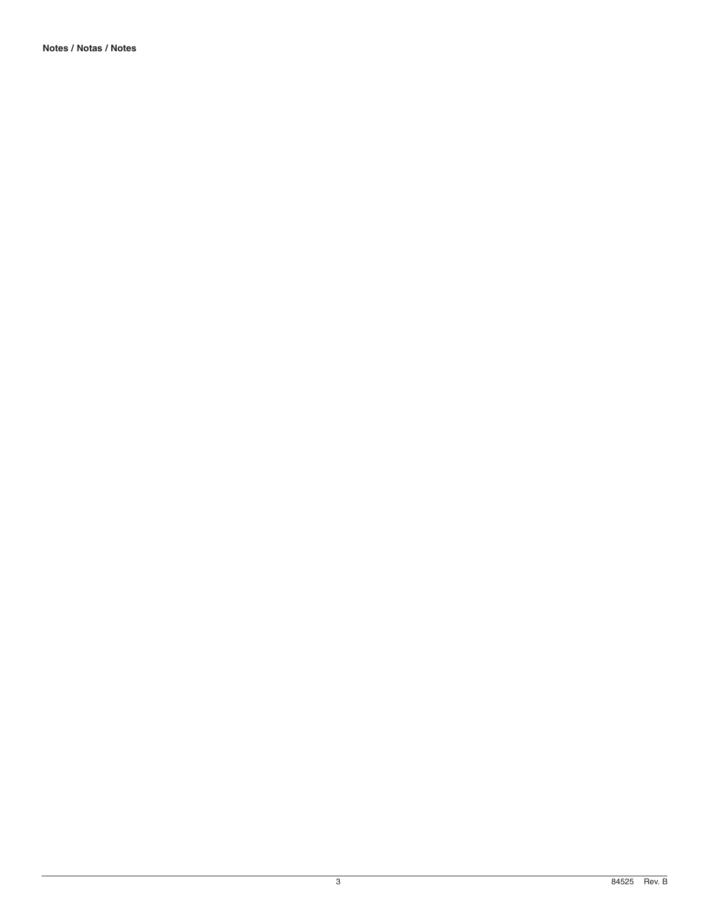**Notes / Notas / Notes**